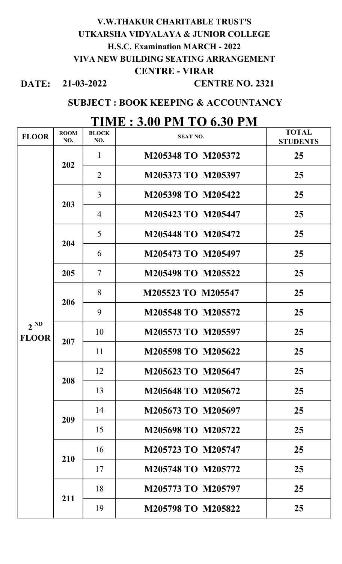## V.W.THAKUR CHARITABLE TRUST'S UTKARSHA VIDYALAYA & JUNIOR COLLEGE H.S.C. Examination MARCH - 2022 VIVA NEW BUILDING SEATING ARRANGEMENT CENTRE - VIRAR

DATE: 21-03-2022

### CENTRE NO. 2321

### SUBJECT : BOOK KEEPING & ACCOUNTANCY

| <b>FLOOR</b>             | <b>ROOM</b><br>NO. | <b>BLOCK</b><br>NO. | <b>SEAT NO.</b>    | <b>TOTAL</b><br><b>STUDENTS</b> |
|--------------------------|--------------------|---------------------|--------------------|---------------------------------|
| $2^{ND}$<br><b>FLOOR</b> | 202                | $\mathbf{1}$        | M205348 TO M205372 | 25                              |
|                          |                    | $\overline{2}$      | M205373 TO M205397 | 25                              |
|                          | 203                | $\overline{3}$      | M205398 TO M205422 | 25                              |
|                          |                    | $\overline{4}$      | M205423 TO M205447 | 25                              |
|                          | 204                | 5                   | M205448 TO M205472 | 25                              |
|                          |                    | 6                   | M205473 TO M205497 | 25                              |
|                          | 205                | $\overline{7}$      | M205498 TO M205522 | 25                              |
|                          | 206                | 8                   | M205523 TO M205547 | 25                              |
|                          |                    | 9                   | M205548 TO M205572 | 25                              |
|                          | 207                | 10                  | M205573 TO M205597 | 25                              |
|                          |                    | 11                  | M205598 TO M205622 | 25                              |
|                          | 208                | 12                  | M205623 TO M205647 | 25                              |
|                          |                    | 13                  | M205648 TO M205672 | 25                              |
|                          | 209                | 14                  | M205673 TO M205697 | 25                              |
|                          |                    | 15                  | M205698 TO M205722 | 25                              |
|                          | 210                | 16                  | M205723 TO M205747 | 25                              |
|                          |                    | 17                  | M205748 TO M205772 | 25                              |
|                          | 211                | 18                  | M205773 TO M205797 | 25                              |
|                          |                    | 19                  | M205798 TO M205822 | 25                              |

## TIME : 3.00 PM TO 6.30 PM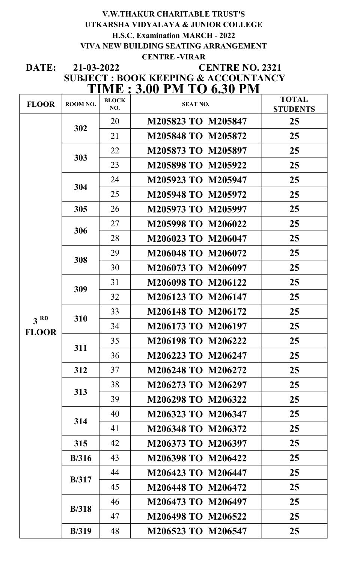### V.W.THAKUR CHARITABLE TRUST'S UTKARSHA VIDYALAYA & JUNIOR COLLEGE H.S.C. Examination MARCH - 2022 VIVA NEW BUILDING SEATING ARRANGEMENT CENTRE -VIRAR

DATE: 21-03-2022 TIME : 3.00 PM TO 6.30 PM CENTRE NO. 2321 SUBJECT : BOOK KEEPING & ACCOUNTANCY

| <b>FLOOR</b>    | ROOM NO.      | <b>BLOCK</b><br>NO. | $\cdots$<br>$\mathbf{v} \mathbf{v}$<br><b>SEAT NO.</b> | <b>TOTAL</b><br><b>STUDENTS</b> |
|-----------------|---------------|---------------------|--------------------------------------------------------|---------------------------------|
|                 | 302           | 20                  | M205823 TO M205847                                     | 25                              |
|                 |               | 21                  | M205848 TO M205872                                     | 25                              |
|                 | 303           | 22                  | M205873 TO M205897                                     | 25                              |
|                 |               | 23                  | M205898 TO M205922                                     | 25                              |
|                 | 304           | 24                  | M205923 TO M205947                                     | 25                              |
|                 |               | 25                  | M205948 TO M205972                                     | 25                              |
|                 | 305           | 26                  | M205973 TO M205997                                     | 25                              |
|                 | 306           | 27                  | M205998 TO M206022                                     | 25                              |
|                 |               | 28                  | M206023 TO M206047                                     | 25                              |
|                 | 308           | 29                  | M206048 TO M206072                                     | 25                              |
|                 |               | 30                  | M206073 TO M206097                                     | 25                              |
|                 | 309           | 31                  | M206098 TO M206122                                     | 25                              |
|                 |               | 32                  | M206123 TO M206147                                     | 25                              |
| 3 <sup>RD</sup> | 310           | 33                  | M206148 TO M206172                                     | 25                              |
| <b>FLOOR</b>    |               | 34                  | M206173 TO M206197                                     | 25                              |
|                 | 311           | 35                  | M206198 TO M206222                                     | 25                              |
|                 |               | 36                  | M206223 TO M206247                                     | 25                              |
|                 | 312           | 37                  | M206248 TO M206272                                     | 25                              |
|                 | 313           | 38                  | M206273 TO M206297                                     | 25                              |
|                 |               | 39                  | M206298 TO M206322                                     | 25                              |
|                 | 314           | 40                  | M206323 TO M206347                                     | 25                              |
|                 |               | 41                  | M206348 TO M206372                                     | 25                              |
|                 | 315           | 42                  | M206373 TO M206397                                     | 25                              |
|                 | B/316         | 43                  | M206398 TO M206422                                     | 25                              |
|                 | B/317         | 44                  | M206423 TO M206447                                     | 25                              |
|                 |               | 45                  | M206448 TO M206472                                     | 25                              |
|                 | <b>B</b> /318 | 46                  | M206473 TO M206497                                     | 25                              |
|                 |               | 47                  | M206498 TO M206522                                     | 25                              |
|                 | B/319         | 48                  | M206523 TO M206547                                     | 25                              |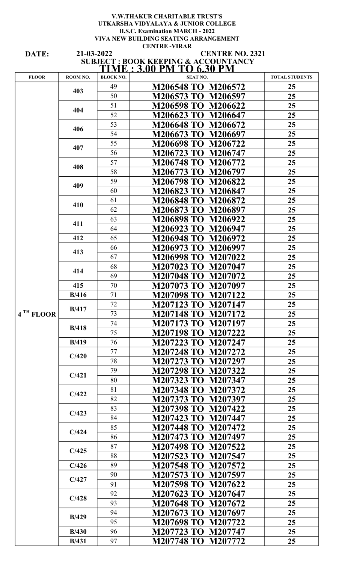#### V.W.THAKUR CHARITABLE TRUST'S UTKARSHA VIDYALAYA & JUNIOR COLLEGE H.S.C. Examination MARCH - 2022 VIVA NEW BUILDING SEATING ARRANGEMENT CENTRE -VIRAR

DATE:

#### 21-03-2022 SUBJECT : BOOK KEEPING & ACCOUNTANCY TIME : 3.00 PM TO 6.30 PM CENTRE NO. 2321

| <b>FLOOR</b>          | ROOM NO.      | <b>BLOCK NO.</b> | <b>SEAT NO.</b>              | <b>TOTAL STUDENTS</b> |
|-----------------------|---------------|------------------|------------------------------|-----------------------|
|                       | 403           | 49               | M206548 TO M206572           | 25                    |
|                       |               | 50               | M206573 TO M206597           | 25                    |
|                       | 404           | 51               | M206598 TO M206622           | 25                    |
|                       |               | 52               | M206623 TO M206647           | 25                    |
|                       |               | 53               | M206648 TO M206672           | 25                    |
|                       | 406           | 54               | <b>M206673 TO</b><br>M206697 | 25                    |
|                       | 407           | 55               | <b>M206698 TO</b><br>M206722 | 25 <sub>1</sub>       |
|                       |               | 56               | M206723 TO<br>M206747        | 25                    |
|                       | 408           | 57               | <b>M206748 TO</b><br>M206772 | 25                    |
|                       |               | 58               | <b>M206773 TO</b><br>M206797 | 25 <sub>1</sub>       |
|                       | 409           | 59               | <b>M206798 TO</b><br>M206822 | 25                    |
|                       |               | 60               | <b>M206823 TO</b><br>M206847 | 25 <sub>1</sub>       |
|                       | 410           | 61               | M206848 TO M206872           | 25                    |
|                       |               | 62               | M206873 TO M206897           | 25                    |
|                       | 411           | 63               | <b>M206898 TO</b><br>M206922 | 25                    |
|                       |               | 64               | M206923 TO M206947           | 25 <sub>1</sub>       |
|                       | 412           | 65               | M206948 TO M206972           | 25 <sub>1</sub>       |
|                       | 413           | 66               | <b>M206973 TO</b><br>M206997 | 25 <sub>1</sub>       |
|                       |               | 67               | <b>M206998 TO</b><br>M207022 | 25                    |
|                       | 414           | 68               | <b>M207023 TO</b><br>M207047 | 25                    |
|                       |               | 69               | <b>M207048 TO</b><br>M207072 | 25                    |
|                       | 415           | 70               | <b>M207073 TO</b><br>M207097 | 25                    |
|                       | B/416         | 71               | <b>M207098 TO</b><br>M207122 | 25                    |
|                       | B/417         | 72               | <b>M207123 TO</b><br>M207147 | 25                    |
| 4 <sup>TH</sup> FLOOR |               | 73               | M207148 TO M207172           | 25                    |
|                       | B/418         | 74               | M207173 TO M207197           | 25                    |
|                       |               | 75               | M207198 TO M207222           | 25                    |
|                       | B/419         | 76               | M207223 TO M207247           | 25 <sub>1</sub>       |
|                       | C/420         | 77               | M207248 TO M207272           | 25 <sub>1</sub>       |
|                       |               | 78               | M207273 TO M207297           | 25                    |
|                       | C/421         | 79               | <b>M207298 TO</b><br>M207322 | 25 <sub>1</sub>       |
|                       |               | 80               | <b>M207323 TO</b><br>M207347 | 25                    |
|                       | C/422         | 81               | M207348 TO M207372           | 25                    |
|                       |               | 82               | M207373 TO M207397           | 25                    |
|                       | C/423         | 83               | <b>M207398 TO</b><br>M207422 | 25 <sub>1</sub>       |
|                       |               | 84               | <b>M207423 TO</b><br>M207447 | 25                    |
|                       | C/424         | 85               | <b>M207448 TO</b><br>M207472 | 25                    |
|                       |               | 86               | M207473 TO M207497           | 25                    |
|                       | C/425         | 87               | M207498 TO M207522           | 25 <sub>1</sub>       |
|                       |               | 88               | <b>M207523 TO</b><br>M207547 | 25 <sub>1</sub>       |
|                       | C/426         | 89               | M207548 TO M207572           | 25                    |
|                       | C/427         | 90               | <b>M207573 TO</b><br>M207597 | 25                    |
|                       |               | 91               | <b>M207598 TO</b><br>M207622 | 25                    |
|                       | C/428         | 92               | M207623 TO M207647           | 25                    |
|                       |               | 93               | M207648 TO M207672           | 25 <sub>1</sub>       |
|                       | B/429         | 94               | M207673 TO M207697           | 25 <sub>1</sub>       |
|                       |               | 95               | <b>M207698 TO</b><br>M207722 | 25                    |
|                       | B/430         | 96               | <b>M207723 TO</b><br>M207747 | 25                    |
|                       | <b>B</b> /431 | 97               | M207748 TO M207772           | 25                    |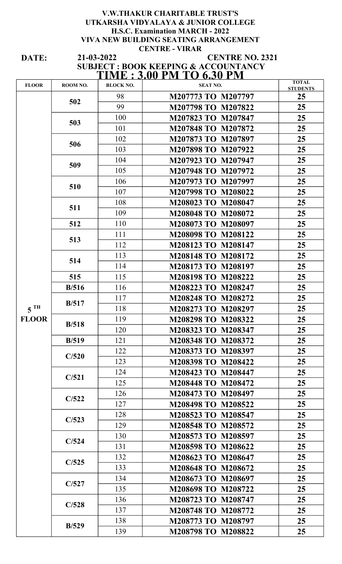### V.W.THAKUR CHARITABLE TRUST'S UTKARSHA VIDYALAYA & JUNIOR COLLEGE H.S.C. Examination MARCH - 2022 VIVA NEW BUILDING SEATING ARRANGEMENT CENTRE - VIRAR

DATE:

#### SUBJECT : BOOK KEEPING & ACCOUNTANCY CENTRE NO. 2321 TIME : 3.00 PM TO 6.30 PM 21-03-2022

| <b>FLOOR</b>      | ROOM NO. | <u> LIVILI 1 JJJV L IVI</u><br><b>BLOCK NO.</b> | <u> VIJV 171</u><br><b>SEAT NO.</b> | <b>TOTAL</b><br><b>STUDENTS</b> |
|-------------------|----------|-------------------------------------------------|-------------------------------------|---------------------------------|
|                   | 502      | 98                                              | M207773 TO M207797                  | 25                              |
|                   |          | 99                                              | M207798 TO M207822                  | 25                              |
|                   | 503      | 100                                             | M207823 TO M207847                  | 25                              |
|                   |          | 101                                             | M207848 TO M207872                  | 25                              |
|                   | 506      | 102                                             | M207873 TO M207897                  | 25                              |
|                   |          | 103                                             | M207898 TO M207922                  | 25                              |
|                   | 509      | 104                                             | M207923 TO M207947                  | 25                              |
|                   |          | 105                                             | M207948 TO M207972                  | 25                              |
|                   | 510      | 106                                             | M207973 TO M207997                  | 25                              |
|                   |          | 107                                             | M207998 TO M208022                  | 25                              |
|                   | 511      | 108                                             | M208023 TO M208047                  | 25                              |
|                   |          | 109                                             | M208048 TO M208072                  | 25                              |
|                   | 512      | 110                                             | M208073 TO M208097                  | 25                              |
|                   | 513      | 111                                             | M208098 TO M208122                  | 25                              |
|                   |          | 112                                             | M208123 TO M208147                  | 25                              |
|                   | 514      | 113                                             | M208148 TO M208172                  | 25                              |
|                   |          | 114                                             | M208173 TO M208197                  | 25                              |
|                   | 515      | 115                                             | M208198 TO M208222                  | 25                              |
|                   | B/516    | 116                                             | M208223 TO M208247                  | 25                              |
|                   | B/517    | 117                                             | M208248 TO M208272                  | 25                              |
| $5$ <sup>TH</sup> |          | 118                                             | M208273 TO M208297                  | 25                              |
| <b>FLOOR</b>      | B/518    | 119                                             | M208298 TO M208322                  | 25                              |
|                   |          | 120                                             | M208323 TO M208347                  | 25                              |
|                   | B/519    | 121                                             | M208348 TO M208372                  | 25                              |
|                   | C/520    | 122                                             | M208373 TO M208397                  | 25 <sub>1</sub>                 |
|                   |          | 123                                             | M208398 TO M208422                  | 25                              |
|                   | C/521    | 124                                             | M208423 TO M208447                  | 25                              |
|                   |          | 125                                             | M208448 TO M208472                  | 25                              |
|                   | C/522    | 126                                             | M208473 TO M208497                  | 25                              |
|                   |          | 127                                             | M208498 TO M208522                  | 25 <sub>1</sub>                 |
|                   | C/523    | 128                                             | M208523 TO M208547                  | 25                              |
|                   |          | 129                                             | M208548 TO M208572                  | 25                              |
|                   | C/524    | 130                                             | M208573 TO M208597                  | 25                              |
|                   |          | 131                                             | M208598 TO M208622                  | 25                              |
|                   | C/525    | 132                                             | M208623 TO M208647                  | 25                              |
|                   |          | 133                                             | M208648 TO M208672                  | 25                              |
|                   | C/527    | 134                                             | M208673 TO M208697                  | 25 <sub>1</sub>                 |
|                   |          | 135                                             | M208698 TO M208722                  | 25                              |
|                   | C/528    | 136<br>137                                      | M208723 TO M208747                  | 25                              |
|                   | B/529    | 138                                             | M208748 TO M208772                  | 25                              |
|                   |          |                                                 | M208773 TO M208797                  | 25                              |
|                   |          | 139                                             | M208798 TO M208822                  | 25                              |